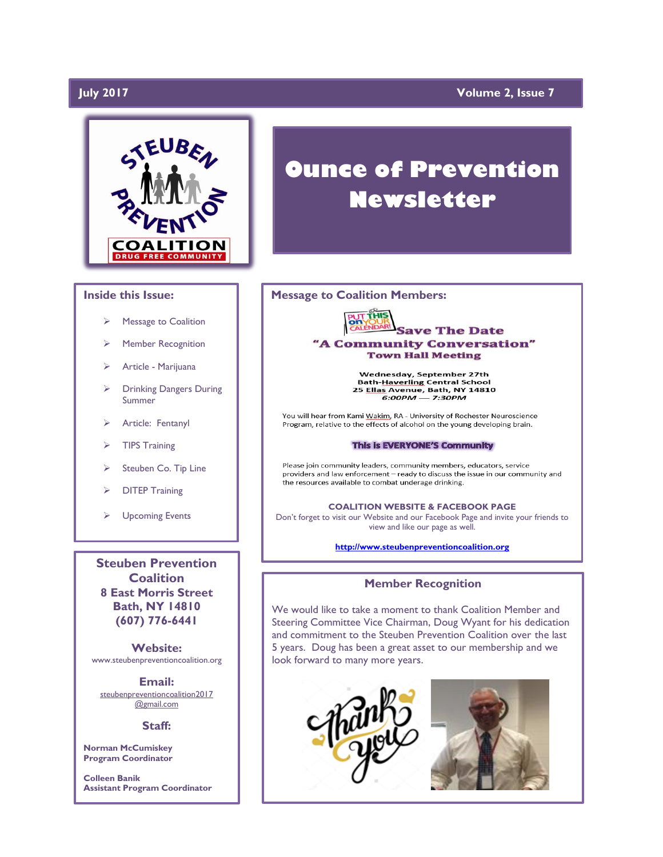# **July 2017**

# **Volume 2, Issue 7**



### **Inside this Issue:**

- Message to Coalition
- Member Recognition
- ➢ Article Marijuana
- ➢ Drinking Dangers During Summer
- Article: Fentanyl
- ➢ TIPS Training
- Steuben Co. Tip Line
- ➢ DITEP Training
- ➢ Upcoming Events

**Steuben Prevention Coalition 8 East Morris Street Bath, NY 14810 (607) 776-6441**

**Website:**  www.steubenpreventioncoalition.org

**Email:**  steubenpreventioncoalition2017 @gmail.com

#### **Staff:**

**Norman McCumiskey Program Coordinator**

**Colleen Banik Assistant Program Coordinator**

# **Ounce of Prevention Newsletter**

### **Message to Coalition Members:**



Wednesday, September 27th Bath-Haverling Central School<br>25 Ellas Avenue, Bath, NY 14810<br>6:00PM — 7:30PM

You will hear from Kami Wakim, RA - University of Rochester Neuroscience Program, relative to the effects of alcohol on the young developing brain.

#### This is EVERYONE'S Community

Please join community leaders, community members, educators, service providers and law enforcement - ready to discuss the issue in our community and the resources available to combat underage drinking.

**COALITION WEBSITE & FACEBOOK PAGE** Don't forget to visit our Website and our Facebook Page and invite your friends to view and like our page as well.

**[http://www.steubenpreventioncoalition.org](http://www.steubenpreventioncoalition.org/)**

# **Member Recognition**

We would like to take a moment to thank Coalition Member and Steering Committee Vice Chairman, Doug Wyant for his dedication and commitment to the Steuben Prevention Coalition over the last 5 years. Doug has been a great asset to our membership and we look forward to many more years.

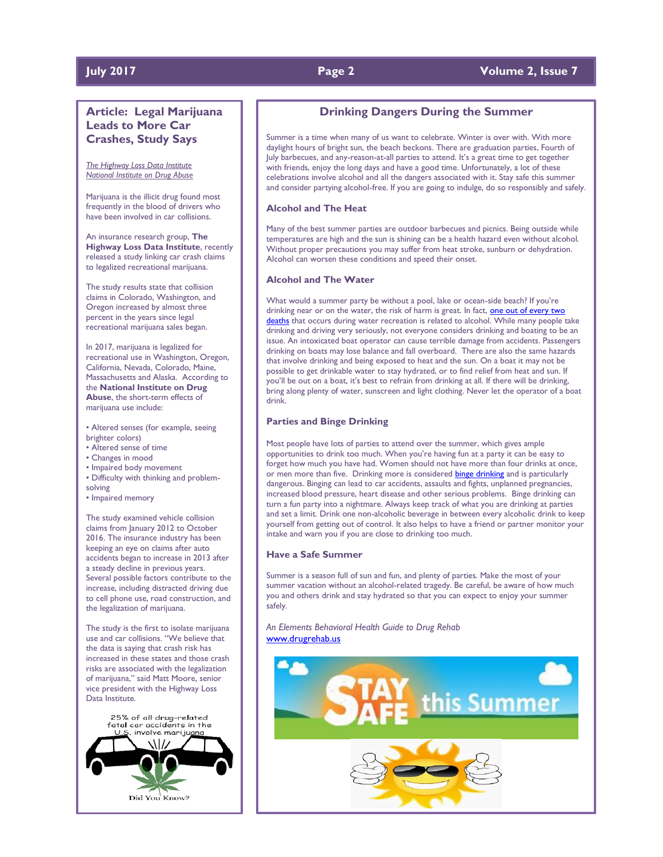# **July 2017 Page 2 Volume 2, Issue 7**

# **Article: Legal Marijuana Leads to More Car Crashes, Study Says**

*The Highway Loss Data Institute National Institute on Drug Abuse*

Marijuana is the illicit drug found most frequently in the blood of drivers who have been involved in car collisions.

An insurance research group, **The Highway Loss Data Institute**, recently released a study linking car crash claims to legalized recreational marijuana.

The study results state that collision claims in Colorado, Washington, and Oregon increased by almost three percent in the years since legal recreational marijuana sales began.

In 2017, marijuana is legalized for recreational use in Washington, Oregon, California, Nevada, Colorado, Maine, Massachusetts and Alaska. According to the **National Institute on Drug Abuse**, the short-term effects of marijuana use include:

• Altered senses (for example, seeing brighter colors)

- Altered sense of time
- Changes in mood
- Impaired body movement
- Difficulty with thinking and problem-
- solving
- Impaired memory

The study examined vehicle collision claims from January 2012 to October 2016. The insurance industry has been keeping an eye on claims after auto accidents began to increase in 2013 after a steady decline in previous years. Several possible factors contribute to the increase, including distracted driving due to cell phone use, road construction, and the legalization of marijuana.

The study is the first to isolate marijuana use and car collisions. "We believe that the data is saying that crash risk has increased in these states and those crash risks are associated with the legalization of marijuana," said Matt Moore, senior vice president with the Highway Loss Data Institute.

25% of all drug-related fatal car accidents in the involve marijuana Did You Know?

# **Drinking Dangers During the Summer**

Summer is a time when many of us want to celebrate. Winter is over with. With more daylight hours of bright sun, the beach beckons. There are graduation parties, Fourth of July barbecues, and any-reason-at-all parties to attend. It's a great time to get together with friends, enjoy the long days and have a good time. Unfortunately, a lot of these celebrations involve alcohol and all the dangers associated with it. Stay safe this summer and consider partying alcohol-free. If you are going to indulge, do so responsibly and safely.

### **Alcohol and The Heat**

Many of the best summer parties are outdoor barbecues and picnics. Being outside while temperatures are high and the sun is shining can be a health hazard even without alcohol. Without proper precautions you may suffer from heat stroke, sunburn or dehydration. Alcohol can worsen these conditions and speed their onset.

### **Alcohol and The Water**

What would a summer party be without a pool, lake or ocean-side beach? If you're drinking near or on the water, the risk of harm is great. In fact, one out of every two [deaths](http://pubs.niaaa.nih.gov/publications/SummerSafety/SummerSafety.htm) that occurs during water recreation is related to alcohol. While many people take drinking and driving very seriously, not everyone considers drinking and boating to be an issue. An intoxicated boat operator can cause terrible damage from accidents. Passengers drinking on boats may lose balance and fall overboard. There are also the same hazards that involve drinking and being exposed to heat and the sun. On a boat it may not be possible to get drinkable water to stay hydrated, or to find relief from heat and sun. If you'll be out on a boat, it's best to refrain from drinking at all. If there will be drinking, bring along plenty of water, sunscreen and light clothing. Never let the operator of a boat drink.

### **Parties and Binge Drinking**

Most people have lots of parties to attend over the summer, which gives ample opportunities to drink too much. When you're having fun at a party it can be easy to forget how much you have had. Women should not have more than four drinks at once, or men more than five. Drinking more is considered **[binge drinking](http://www.cdc.gov/features/summertimesafety/)** and is particularly dangerous. Binging can lead to car accidents, assaults and fights, unplanned pregnancies, increased blood pressure, heart disease and other serious problems. Binge drinking can turn a fun party into a nightmare. Always keep track of what you are drinking at parties and set a limit. Drink one non-alcoholic beverage in between every alcoholic drink to keep yourself from getting out of control. It also helps to have a friend or partner monitor your intake and warn you if you are close to drinking too much.

### **Have a Safe Summer**

Summer is a season full of sun and fun, and plenty of parties. Make the most of your summer vacation without an alcohol-related tragedy. Be careful, be aware of how much you and others drink and stay hydrated so that you can expect to enjoy your summer safely.

*An Elements Behavioral Health Guide to Drug Rehab* [www.drugrehab.us](http://www.drugrehab.us/)

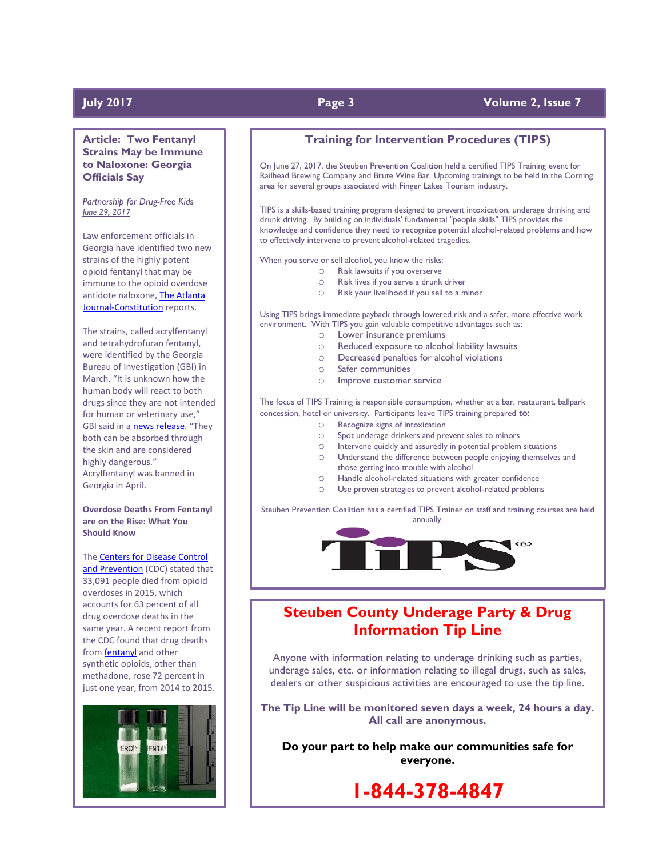# **July 2017 Page 3 Volume 2, Issue 7**

**Article: Two Fentanyl Strains May be Immune to Naloxone: Georgia Officials Say**

*Partnership for Drug-Free Kids June 29, 2017*

Law enforcement officials in Georgia have identified two new strains of the highly potent opioid fentanyl that may be immune to the opioid overdose antidote naloxone, [The Atlanta](http://www.ajc.com/news/crime--law/gbi-narcan-may-match-for-two-new-fentanyl-strains/gnbmb4oAGBpzgatmxiVdTP/)  [Journal-Constitution](http://www.ajc.com/news/crime--law/gbi-narcan-may-match-for-two-new-fentanyl-strains/gnbmb4oAGBpzgatmxiVdTP/) reports.

The strains, called acrylfentanyl and tetrahydrofuran fentanyl, were identified by the Georgia Bureau of Investigation (GBI) in March. "It is unknown how the human body will react to both drugs since they are not intended for human or veterinary use," GBI said in a [news release](https://gbi.georgia.gov/press-releases/2017-06-27/gbi-crime-lab-identifies-two-new-fentanyl-analogues). "They both can be absorbed through the skin and are considered highly dangerous." Acrylfentanyl was banned in Georgia in April.

**Overdose Deaths From Fentanyl are on the Rise: What You Should Know**

The [Centers for Disease Control](https://www.cdc.gov/mmwr/volumes/65/wr/mm655051e1.htm?s_cid=mm655051e1_w)  [and Prevention](https://www.cdc.gov/mmwr/volumes/65/wr/mm655051e1.htm?s_cid=mm655051e1_w) (CDC) stated that 33,091 people died from opioid overdoses in 2015, which accounts for 63 percent of all drug overdose deaths in the same year. A recent report from the CDC found that drug deaths from [fentanyl](http://medicineabuseproject.org/medicine/fentanyl) and other synthetic opioids, other than methadone, rose 72 percent in just one year, from 2014 to 2015.



# **Training for Intervention Procedures (TIPS)**

On June 27, 2017, the Steuben Prevention Coalition held a certified TIPS Training event for Railhead Brewing Company and Brute Wine Bar. Upcoming trainings to be held in the Corning area for several groups associated with Finger Lakes Tourism industry.

TIPS is a skills-based training program designed to prevent intoxication, underage drinking and drunk driving. By building on individuals' fundamental "people skills" TIPS provides the knowledge and confidence they need to recognize potential alcohol-related problems and how to effectively intervene to prevent alcohol-related tragedies.

When you serve or sell alcohol, you know the risks:

- o Risk lawsuits if you overserve
- o Risk lives if you serve a drunk driver
- o Risk your livelihood if you sell to a minor

Using TIPS brings immediate payback through lowered risk and a safer, more effective work environment. With TIPS you gain valuable competitive advantages such as:

- o Lower insurance premiums
- o Reduced exposure to alcohol liability lawsuits
- o Decreased penalties for alcohol violations
- o Safer communities
- o Improve customer service

The focus of TIPS Training is responsible consumption, whether at a bar, restaurant, ballpark concession, hotel or university. Participants leave TIPS training prepared to:

- o Recognize signs of intoxication
	- o Spot underage drinkers and prevent sales to minors
	- o Intervene quickly and assuredly in potential problem situations
	- o Understand the difference between people enjoying themselves and those getting into trouble with alcohol
	- o Handle alcohol-related situations with greater confidence
	- o Use proven strategies to prevent alcohol-related problems

Steuben Prevention Coalition has a certified TIPS Trainer on staff and training courses are held annually.



# **Steuben County Underage Party & Drug Information Tip Line**

Anyone with information relating to underage drinking such as parties, underage sales, etc. or information relating to illegal drugs, such as sales, dealers or other suspicious activities are encouraged to use the tip line.

**The Tip Line will be monitored seven days a week, 24 hours a day. All call are anonymous.**

**Do your part to help make our communities safe for everyone.**